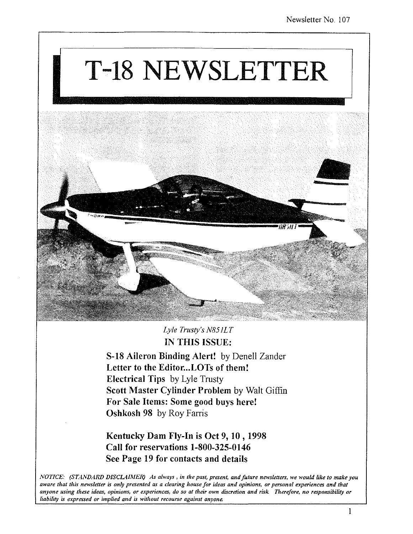# T-18 NEWSLETTER



*Lyle Tmsty's N851LT*  IN THIS ISSUE:

S-18 Aileron Binding Alert! by Denell Zander Letter to the Editor...LOTs of them! Electrical Tips by Lyle Trusty Scott Master Cylinder Problem by Walt Giffin For Sale Items: Some good buys here! Oshkosh 98 by Roy Farris

Kentucky Dam Fly-In is Oct 9,10,1998 Call for reservations 1-800-325-0146 See Page 19 for contacts and details

*NOTICE: (STANDARD DISCLAIMER) As always, in the past, present, and future newsletters, we would like to make you* aware that this newsletter is only presented as a clearing house for ideas and opinions, or personal experiences and that *anyone using these ideas, opinions, or experiences, do so a1 their own discretion and risk Therefore, no responsibility or*  liability is expressed or implied and is without recourse against anyone.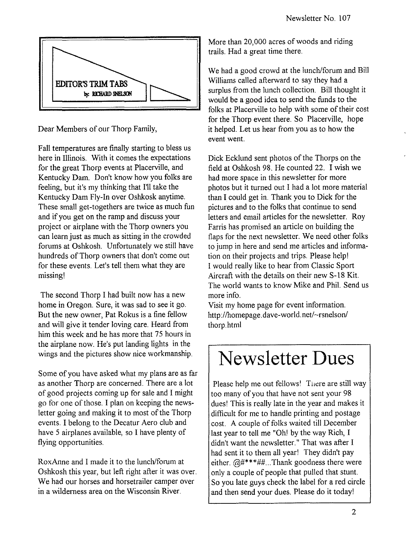

Dear Members of our Thorp Family,

Fall temperatures are finally starting to bless us here in Illinois. With it comes the expectations for the great Thorp events at Placerville, and Kentucky Dam. Don't know how you folks are feeling, but it's my thinking that I'll take the Kentucky Dam Fly-In over Oshkosk anytime. These small get-togethers are twice as much fun and if you get on the ramp and discuss your project or airplane with the Thorp owners you can learn just as much as sitting in the crowded forums at Oshkosh. Unfortunately we still have hundreds of Thorp owners that don't come out for these events. Let's tell them what they are missing!

The second Thorp I had built now has a new home in Oregon. Sure, it was sad to see it go. But the new owner, Pat Rokus is a fine fellow and will give it tender loving care. Heard from him this week and he has more that 75 hours in the airplane now. He's put landing lights in the wings and the pictures show nice workmanship.

Some of you have asked what my plans are as far as another Thorp are concerned. There are a lot of good projects coming up for sale and I might go for one of those. I plan on keeping the newsletter going and making it to most of the Thorp events. I belong to the Decatur Aero club and have 5 airplanes available, so I have plenty of flying opportunities.

RoxAnne and I made it to the lunch/forum at Oshkosh this year, but left right after it was over. We had our horses and horsetrailer camper over in a wilderness area on the Wisconsin River.

More than 20,000 acres of woods and riding trails. Had a great time there.

We had a good crowd at the lunch/forum and Bill Williams called afterward to say they had a surplus from the lunch collection. Bill thought it would be a good idea to send the funds to the folks at Placerville to help with some of their cost for the Thorp event there. So Placerville, hope it helped. Let us hear from you as to how the event went.

Dick Ecklund sent photos of the Thorps on the field at Oshkosh 98. He counted 22. I wish we had more space in this newsletter for more photos but it turned out I had a lot more material than I could get in. Thank you to Dick for the pictures and to the folks that continue to send letters and email articles for the newsletter. Roy Farris has promised an article on building the flaps for the next newsletter. We need other folks to jump in here and send me articles and information on their projects and trips. Please help! I would really like to hear from Classic Sport Aircraft with the details on their new S-18 Kit. The world wants to know Mike and Phil. Send us more info.

Visit my home page for event information. http://homepage.dave-world.net/~rsnelson/ thorp.html

### **Newsletter Dues**

Please help me out fellows! There are still way too many of you that have not sent your 98 dues! This is really late in the year and makes it difficult for me to handle printing and postage cost. A couple of folks waited till December last year to tell me "Oh! by the way Rich, I didn't want the newsletter." That was after I had sent it to them all year! They didn't pay either.  $@#***##...$  Thank goodness there were only a couple of people that pulled that stunt. So you late guys check the label for a red circle and then send your dues. Please do it today!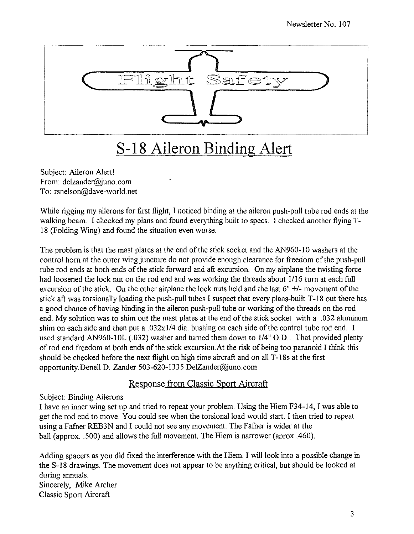

### **S-18 Aileron Binding Alert**

Subject: Aileron Alert! From: delzander@juno.com To: rsnelson@dave-world.net

While rigging my ailerons for first flight, I noticed binding at the aileron push-pull tube rod ends at the walking beam. I checked my plans and found everything built to specs. I checked another flying T-18 (Folding Wing) and found the situation even worse.

The problem is that the mast plates at the end of the stick socket and the AN960-10 washers at the control horn at the outer wing juncture do not provide enough clearance for freedom of the push-pull tube rod ends at both ends of the stick forward and aft excursion. On my airplane the twisting force had loosened the lock nut on the rod end and was working the threads about 1116 turn at each full excursion of the stick. On the other airplane the lock nuts held and the last 6" +/- movement of the stick aft was torsionally loading the push-pull tubes. I suspect that every plans-built T-18 out there has a good chance of having binding in the aileron push-pull tube or working of the threads on the rod end. My solution was to shim out the mast plates at the end of the stick socket with a .032 aluminum shim on each side and then put a  $.032x1/4$  dia. bushing on each side of the control tube rod end. I used standard AN960-10L (.032) washer and turned them down to 1/4" O.D.. That provided plenty of rod end freedom at both ends of the stick excursion. At the risk of being too paranoid I think this should be checked before the next flight on high time aircraft and on all T -18s at the first opportunity.Denell D. Zander 503-620-1335 DelZander@juno.com

#### Response from Classic Sport Aircraft

#### Subject: Binding Ailerons

I have an inner wing set up and tried to repeat your problem. Using the Hiem F34-14, I was able to get the rod end to move. You could see when the torsional load would start. I then tried to repeat using a Fafner REB3N and I could not see any movement. The Fafner is wider at the ball (approx. .500) and allows the full movement. The Hiem is narrower (aprox .460).

Adding spacers as you did fixed the interference with the Hiem. I will look into a possible change in the S-IS drawings. The movement does not appear to be anything critical, but should be looked at during annuals. Sincerely, Mike Archer Classic Sport Aircraft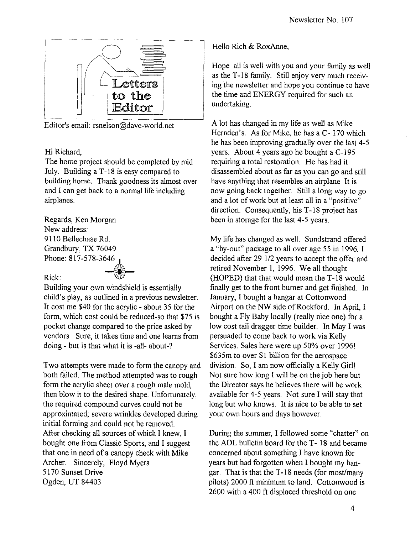

Editor's email: rsnelson@dave-world.net

#### Hi Richard,

The home project should be completed by mid July. Building aT -18 is easy compared to building home. Thank goodness its almost over and I can get back to a normal life including airplanes.

Regards, Ken Morgan New address: 9110 Bellechase Rd. Grandbury, TX 76049 Phone: 817-578-3646~

#### Rick:

Building your own windshield is essentially  $^{46}$   $\frac{1}{2}$ child's play, as outlined in a previous newsletter. It cost me \$40 for the acrylic - about 35 for the form, which cost could be reduced-so that \$75 is pocket change compared to the price asked by vendors. Sure, it takes time and one learns from doing - but is that what it is -all- about-?

Two attempts were made to form the canopy and both failed. The method attempted was to rough form the acrylic sheet over a rough male mold, then blow it to the desired shape. Unfortunately, the required compound curves could not be approximated; severe wrinkles developed during initial forming and could not be removed. After checking all sources of which I knew, I bought one from Classic Sports, and I suggest that one in need of a canopy check with Mike Archer. Sincerely, Floyd Myers 5170 Sunset Drive Ogden, UT 84403

Hello Rich & RoxAnne,

Hope all is well with you and your family as well as the T-18 family. Still enjoy very much receiving the newsletter and hope you continue to have the time and ENERGY required for such an undertaking.

A lot has changed in my life as well as Mike Hernden's. As for Mike, he has a C- 170 which he has been improving gradually over the last 4-5 years. About 4 years ago he bought a C-195 requiring a total restoration. He has had it disassembled about as far as you can go and still have anything that resembles an airplane. It is now going back together. Still a long way to go and a lot of work but at least all in a "positive" direction. Consequently, his T -18 project has been in storage for the last 4-5 years.

My life has changed as well. Sundstrand offered a "by-out" package to all over age 55 in 1996. I decided after 29 1/2 years to accept the offer and retired November 1,1996. We all thought (HOPED) that that would mean the T-18 would finally get to the front burner and get finished. In January, I bought a hangar at Cottonwood Airport on the NW side of Rockford. In April, I bought a Fly Baby locally (really nice one) for a low cost tail dragger time builder. In May I was persuaded to come back to work via Kelly Services. Sales here were up 50% over 1996! \$635m to over \$1 billion for the aerospace division. So, I am now officially a Kelly Girl! Not sure how long I will be on the job here but the Director says he believes there will be work available for 4-5 years. Not sure I will stay that long but who knows. It is nice to be able to set your own hours and days however.

During the summer, I followed some "chatter" on the AOL bulletin board for the T-18 and became concerned about something I have known for years but had forgotten when I bought my hangar. That is that the T -18 needs (for most/many pilots) 2000 ft minimum to land. Cottonwood is 2600 with a 400 ft displaced threshold on one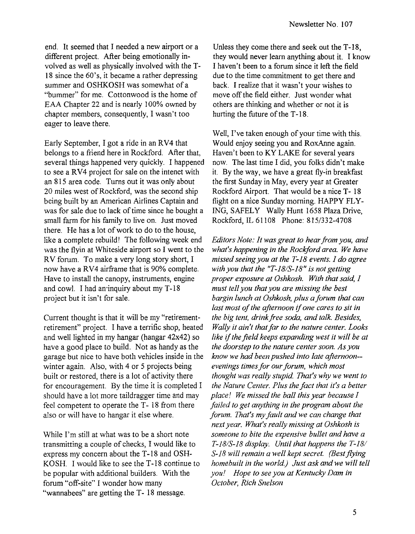end. It seemed that I needed a new airport or a different project. After being emotionally involved as well as physically involved with the T-18 since the 60's, it became a rather depressing summer and OSHKOSH was somewhat of a "bummer" for me. Cottonwood is the home of EAA Chapter 22 and is nearly 100% owned by chapter members, consequently, I wasn't too eager to leave there.

Early September, I got a ride in an RV4 that belongs to a friend here in Rockford. After that, several things happened very quickly. I happened to see a RV4 project for sale on the intenet with an 815 area code. Turns out it was only about 20 miles west of Rockford, was the second ship being built by an American Airlines Captain and was for sale due to lack of time since he bought a small farm for his family to live on. Just moved there. He has a lot of work to do to the house, like a complete rebuild! The following week end was the flyin at Whiteside airport so I went to the RV forum. To make a very long story short, I now have a RV4 airframe that is 90% complete. Have to install the canopy, instruments, engine and cowl. I had an inquiry about my T-18 project but it isn't for sale.

Current thought is that it will be my "retirementretirement" project. I have a terrific shop, heated and well lighted in my hangar (hangar 42x42) so have a good place to build. Not as handy as the garage but nice to have both vehicles inside in the winter again. Also, with 4 or 5 projects being built or restored, there is a lot of activity there for encouragement. By the time it is completed I should have a lot more taildragger time and may feel competent to operate the T-18 from there also or will have to hangar it else where.

While I'm still at what was to be a short note transmitting a couple of checks, I would like to express my concern about the T-18 and OSH-KOSH. I would like to see the T-18 continue to be popular with additional builders. With the forum "off-site" I wonder how many "wannabees" are getting the T-18 message.

Unless they come there and seek out the T-18, they would never learn anything about it. I know I haven't been to a forum since it left the field due to the time commitment to get there and back. I realize that it wasn't your wishes to move off the field either. Just wonder what others are thinking and whether or not it is hurting the future of the T-18.

Well, I've taken enough of your time with this. Would enjoy seeing you and RoxAnne again. Haven't been to KY LAKE for several years now. The last time I did, you folks didn't make it. By the way, we have a great fly-in breakfast the first Sunday in May, every year at Greater Rockford Airport. That would be a nice T-18 flight on a nice Sunday morning. HAPPY FLY-ING, SAFELY Wally Hunt 1658 Plaza Drive, Rockford, IL 61108 Phone: 815/332-4708

*Editors Note: It was great to hear from you, and what's happening in the Rockford area. We have missed seeing you at the T-IB events. I do agree with you that the "T-IB/S-IB" is not getting proper exposure at Oshkosh. With that said, 1 must tell you that you are missing the best barginlunch at Oshkosh, plus a forum that can last most of the afternoon* if *one cares to sit in the big tent, drink free soda, and talk. Besides, Wally it ain't that far to the nature center. Looks like* if *the field keeps expanding west it will be at the doorstep to the nature center soon. As you know we had been pushed into late afternoon- evenings times for our forum, which most thought was really stupid That's why we went to the Nature Center. Plus the fact that it's a better place* 1 *We missed the ball this year because I failed to get anything in the program about the forum. That's my fault and we can change that next year. What's really missing at Oshkosh* is *someone to bite the expensive bullet and have a T-IB/S-18 display. Until that happens the T-IB/*  S-18 *will remain a well kept secret. (Best flying home built in the world) Just ask and we will tell you! Hope to see you at Kentucky Dam in October, Rich Snelson*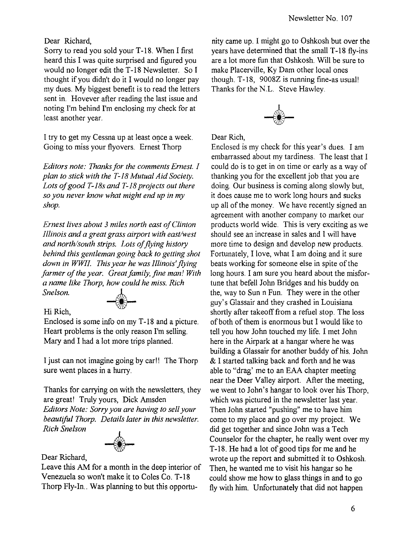#### Dear Richard,

Sorry to read you sold your T-18. When I first heard this I was quite surprised and figured you would no longer edit the T -18 Newsletter. So I thought if you didn't do it I would no longer pay my dues. My biggest benefit is to read the letters sent in. Hovever after reading the last issue and noting I'm behind I'm enclosing my check for at least another year.

I try to get my Cessna up at least once a week. Going to miss your flyovers. Ernest Thorp

*Editors note: Thanks for the comments Ernest. I plan to stick with the T-18 Mutual Aid Society. Lots of good T-l8s and T-18 projects out there so you never know what might end up in my shop.* 

*Ernest lives about* 3 *miles north east of Clinton Illinois and a great grass airport with east/west and north/south strips. Lots of flying history behind this gentleman going back to getting shot down in WWlI. This year he was Illinois'flying farmer of the year. Great family, fine man! With a name like Thorp, how could he miss. Rich Snelson. •* 

#### Hi Rich,

Enclosed is some info on my T -18 and a picture. Heart problems is the only reason I'm selling. Mary and I had a lot more trips planned.

I just can not imagine going by car!! The Thorp sure went places in a hurry.

Thanks for carrying on with the newsletters, they are great! Truly yours, Dick Amsden *Editors Note: Sorry you are having to sell your beautiful Thorp. Details later in this newsletter. Rich Snelson* 



Dear Richard,

Leave this AM for a month in the deep interior of Venezuela so won't make it to Coles Co. T-18 Thorp Fly-In.. Was planning to but this opportunity came up. I might go to Oshkosh but over the years have determined that the small T-18 fly-ins are a lot more fun that Oshkosh. Will be sure to make Placerville, Ky Dam other local ones though. T-18, 9008Z is running fine-as usual! Thanks for the N.L. Steve Hawley.



Dear Rich,

Enclosed is my check for this year's dues. I am embarrassed about my tardiness. The least that I could do is to get in on time or early as a way of thanking you for the excellent job that you are doing. Our business is coming along slowly but, it does cause me to work long hours and sucks up all of the money. We have recently signed an agreement with another company to market our products world wide. This is very exciting as we should see an increase in sales and I will have more time to design and develop new products. Fortunately, I love, what I am doing and it sure beats working for someone else in spite of the long hours. I am sure you heard about the misfortune that befell John Bridges and his buddy on the, way to Sun n Fun. They were in the other guy's Glassair and they crashed in Louisiana shortly after takeoff from a refuel stop. The loss of both of them is enormous but I would like to tell you how John touched my life. I met John here in the Airpark at a hangar where he was building a Glassair for another buddy of his. John & I started talking back and forth and he was able to "drag' me to an EAA chapter meeting near the Deer Valley airport. After the meeting, we went to John's hangar to look over his Thorp, which was pictured in the newsletter last year. Then John started "pushing" me to have him come to my place and go over my project. We did get together and since John was a Tech Counselor for the chapter, he really went over my T -18. He had a lot of good tips for me and he wrote up the report and submitted it to Oshkosh. Then, he wanted me to visit his hangar so he could show me how to glass things in and to go fly with him. Unfortunately that did not happen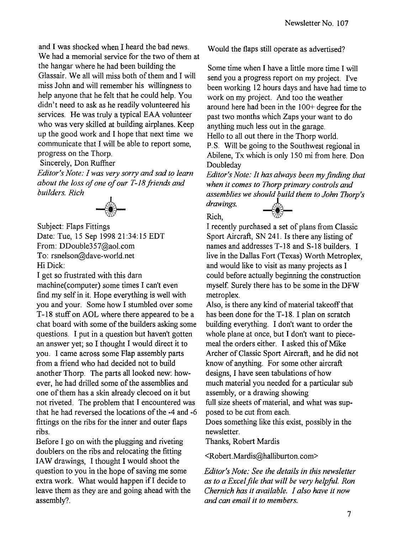and I was shocked when I heard the bad news. We had a memorial service for the two of them at the hangar where he had been building the Glassair. We all will miss both of them and I will miss John and will remember his willingness to help anyone that he felt that he could help. You didn't need to ask as he readily volunteered his services. He was truly a typical EAA volunteer who was very skilled at building airplanes. Keep up the good work and I hope that next time we communicate that I will be able to report some, progress on the Thorp.

Sincerely, Don Ruffner

*Editor's Note: I was very sorry and sad to learn*  about the loss of one of our T-18 friends and *builders. Rich* 



Subject: Flaps Fittings Date: Tue, 15 Sep 1995 21:34:15 EDT From: DDouble357@aol.com To: rsnelson@dave-world.net Hi Dick:

I get so frustrated with this dam machine( computer) some times I can't even find my self in it. Hope everything is well with you and your. Some how I stumbled over some T-18 stuff on AOL where there appeared to be a chat board with some of the builders asking some questions. I put in a question but haven't gotten an answer yet; so I thought I would direct it to you. I came across some Flap assembly parts from a friend who had decided not to build another Thorp. The parts all looked new: however, he had drilled some of the assemblies and one of them has a skin already decoed on it but not riveted. The problem that I encountered was that he had reversed the locations of the -4 and -6 fittings on the ribs for the inner and outer flaps ribs.

Before I go on with the plugging and riveting doublers on the ribs and relocating the fitting lAW drawings, I thought I would shoot the question to you in the hope of saving me some extra work. What would happen if I decide to leave them as they are and going ahead with the assembly?

Would the flaps still operate as advertised?

Some time when I have a little more time I will send you a progress report on my project. I've been working 12 hours days and have had time to work on my project. And too the weather around here had been in the 100+ degree for the past two months which Zaps your want to do anything much less out in the garage. Hello to all out there in the Thorp world.

P.S. Will be going to the Southwest regional in Abilene, Tx which is only 150 mi from here. Don Doubleday

*Editor's Note: It has always been my finding that when it comes to Thorp primary controls and*  assemblies we should build them to John Thorp's drawings.

Rich,

I recently purchased a set of plans from Classic Sport Aircraft, SN 241. Is there any listing of names and addresses T-18 and S-18 builders. I live in the Dallas Fort (Texas) Worth Metroplex, and would like to visit as many projects as I could before actually beginning the construction myself. Surely there has to be some in the DFW metroplex.

Also, is there any kind of material takeoff that has been done for the T-18. I plan on scratch building everything. I don't want to order the whole plane at once, but I don't want to piecemeal the orders either. I asked this of Mike Archer of Classic Sport Aircraft, and he did not know of anything. For some other aircraft designs, I have seen tabulations of how much material you needed for a particular sub assembly, or a drawing showing full size sheets of material, and what was supposed to be cut from each.

Does something like this exist, possibly in the newsletter.

Thanks, Robert Mardis

<Robert.Mardis@halliburton.com>

*Editor's Note: See the details in this newsletter as to a Excelfile that will be very helpful. Ron Chernich has it available. I also have it now and can email it to members.*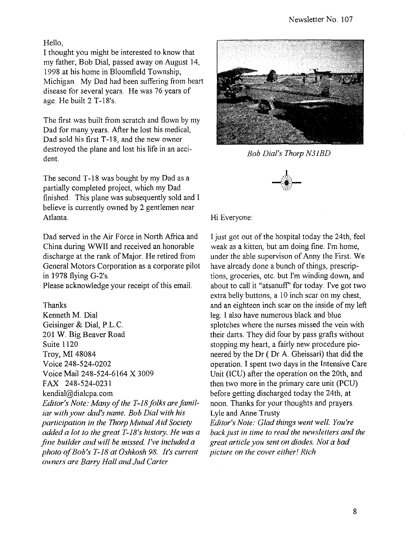#### Hello.

I thought you might be interested to know that my father, Bob Dial, passed away on August 14, 1998 at his home in Bloomfield Township, Michigan. My Dad had been suffering from heart disease for several years. He was 76 years of age. He built 2 T-18's.

The first was built from scratch and flown by my Dad for many years. After he lost his medical, Dad sold his first T-18, and the new owner destroyed the plane and lost his life in an accident.

The second T-18 was bought by my Dad as a partially completed project, which my Dad finished. This plane was subsequently sold and I believe is currently owned by 2 gentlemen near Atlanta. Hi Everyone:

Dad served in the Air Force in North Africa and China during WWII and received an honorable discharge at the rank of Major. He retired from General Motors Corporation as a corporate pilot in 1978 flying G-2's.

Please acknowledge your receipt of this email.

Thanks Kenneth M. Dial Geisinger & Dial, P.L.C. 201 W. Big Beaver Road Suite 1120 Troy, MI 48084 Voice 248-524-0202 Voice Mail 248-524-6164 X 3009 FAX 248-524-0231 kendial@dialcpa.com *Editor's Note: Many of the T-18 folks are familiar with your dad's name. Bob Dial with his participation in the Thorp Mutual Aid Society added a lot to the great T-18's history. He was a fine builder and will be missed I've included a photo 0/ Bob's T-18 at Oshkosh* 98. *It's current owners are Barry Hall and Jud Carter* 



*Bob Dial's Thorp N31BD* 



I just got out of the hospital today the 24th, feel weak as a kitten, but am doing fine. I'm home, under the able supervison of Anny the First. We have already done a bunch of things, prescriptions, groceries, etc. but I'm winding down, and about to call it "atsanuff" for today. I've got two extra belly buttons, a 10 inch scar on my chest, and an eighteen inch scar on the inside of my left leg. I also have numerous black and blue splotches where the nurses missed the vein with their darts. They did four by pass grafts without stopping my heart, a fairly new procedure pioneered by the Dr ( Dr A. Gheissari) that did the operation. I spent two days in the Intensive Care Unit (ICU) after the operation on the 20th, and then two more in the primary care unit (PCU) before getting discharged today the 24th, at noon. Thanks for your thoughts and prayers. Lyle and Anne Trusty

Editor's Note: Glad things went well. You're *back just in time to read the newsletters and the great article you sent on diodes. Not a bad picture on the cover either! Rich*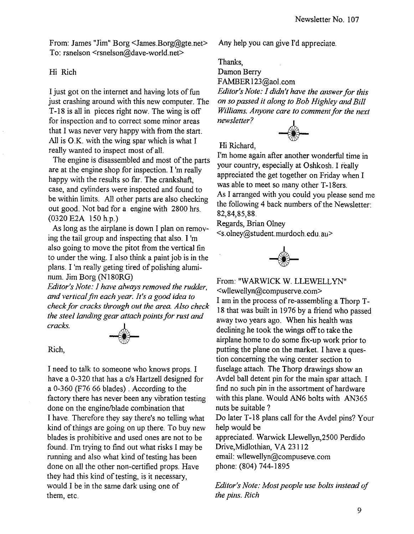From: James "Jim" Borg <James.Borg@gte.net> To: rsnelson <rsnelson@dave-world.net>

#### Hi Rich

I just got on the internet and having lots of fun just crashing around with this new computer. The T-18 is all in pieces right now. The wing is off for inspection and to correct some minor areas that I was never very happy with from the start. All is O.K. with the wing spar which is what I really wanted to inspect most of all.

The engine is disassembled and most of the parts are at the engine shop for inspection. I 'm really happy with the results so far. The crankshaft, case, and cylinders were inspected and found to be within limits. All other parts are also checking out good. Not bad for a engine with 2800 hrs. (0320 E2A 150 h.p.)

As long as the airplane is down I plan on removing the tail group and inspecting that also. I 'm also going to move the pitot from the vertical fin to under the wing. I also think a paint job is in the plans. I 'm really geting tired of polishing aluminum. Jim Borg (N180RG)

*Editor's Note: I have always removed the rudder. and vertical jin each year. It's a good idea to check for cracks through out the area. Also check the steel landing gear attach points for rust and cracks.* --I--



#### Rich,

I need to talk to someone who knows props. I have a 0-320 that has a c/s Hartzell designed for a 0-360 (F76 66 blades) . According to the factory there has never been any vibration testing done on the engine/blade combination that I have. Therefore they say there's no telling what kind of things are going on up there. To buy new blades is prohibitive and used ones are not to be found. I'm trying to find out what risks I may be running and also what kind of testing has been done on all the other non-certified props. Have they had this kind of testing, is it necessary, would I be in the same dark using one of them, etc.

Any help you can give I'd appreciate.

Thanks,

Damon Berry FAMBERl23@aol.com

*Editor's Note: I didn't have the answer for this on so passed it along to Bob Highley and Bill Williams. Anyone care to comment for the next newsletter?* 



Hi Richard,

I'm home again after another wonderful time in your country, especially at Oshkosh. I really appreciated the get together on Friday when I was able to meet so many other T-18ers. As I arranged with you could you please send me the following 4 back numbers of the Newsletter: 82,84,85,88.

Regards, Brian Olney <s.olney@student.murdoch.edu.au>



From: "WARWICK W. LLEWELLYN"

<wllewellyn@compuserve.com>

I am in the process of re-assembling a Thorp T-18 that was built in 1976 by a friend who passed away two years ago. When his health was declining he took the wings off to take the airplane home to do some fix-up work prior to putting the plane on the market. I have a question concerning the wing center section to fuselage attach. The Thorp drawings show an Avdel ball detent pin for the main spar attach. I find no such pin in the assortment of hardware with this plane. Would AN6 bolts with AN365 nuts be suitable?

Do later T-18 plans call for the Avdel pins? Your help would be

appreciated. Warwick Llewellyn,2500 Perdido Drive,Midlothian, VA 23112 email: wllewellyn@compuseve.com phone: (804) 744-1895

*Editor's Note: Most people use bolts instead of the pins. Rich*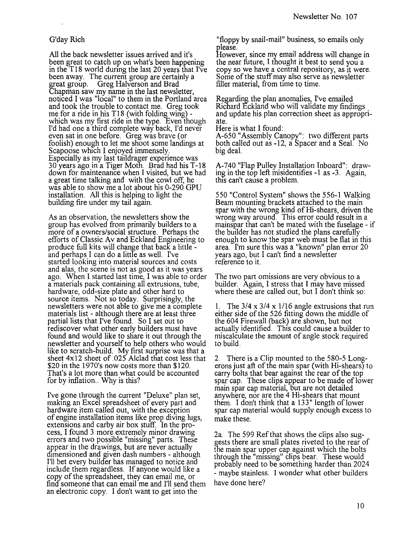#### G'day Rich

All the back newsletter issues arrived and it's been great to catch up on what's been happening in the TI8 world dunng the last 20 years that I've been away. The current group are certainly a great group. Greg Halverson and Brad Chapman saw my name in the last newsletter, noticed I was "local" to them in the Portland area and took the trouble to contact me. Greg took me for a ride in his T18 (with folding wing) which was my first ride in the type. Even though I'd had one a third complete way back, I'd never even sat in one before. Greg was brave (or foolish) enough to let me shoot some landings at Scapoose which I enjoyed immensely. Especially as my last taildrager experience was 30 years ago in a Tiger Moth. Brad had his T -18 down for maintenance when I visited, but we had a great time talking and with the cowl off, he was able to show me a lot about his 0-290 GPU installation. All this is helping to light the building fire under my tail again.

As an observation, the newsletters show the group has evolved from primarily builders to a more of a owners/social structure. Perhaps the efforts of Classic Av and Eckland Engineering to produce full kits wilJ change that back a little - and perhaps I can do a little as well. I've started looking into material sources and costs and alas, the scene is not as good as it was years ago. When I started last time, I was able to order a materials pack containing all extrusions, tube, hardware, odd-size plate and other hard to source items. Not so today. Surprisingly, the newsletters were not able to give me a complete materials list - although there are at least three partial lists that I've found. So I set out to rediscover what other early builders must have found and would like to share it out through the newsletter and yourself to help others who would like to scratch-build. My first surprise was that a sheet  $4x12$  sheet of .025 Alclad that cost less that \$20 in the 1970's now costs more than \$120. That's a lot more than what could be accounted for by inflation. Why is this?

I've gone through the current "Deluxe" plan set, makmg an Excel spreadsheet of every part and hardware item called out, with the exception of engine installation items like prop diving lugs, extensions and carby air box stuff. In the process, I found 3 more extremely minor drawing errors and two possible "missmg" parts. These appear in the drawings, but are never actually dimensioned and given dash numbers - although I'll bet every builder has managed to notice and include them regardless. If anyone would like a copy of the spreadsheet, they can email me, or find someone that can email me and I'll send them an electronic copy. I don't want to get into the

"floppy by snail-mail" business, so emails only please.

However, since my email address will change in the near future, I thought it best to send you a copy so we have a central repository, as It were. Some of the stuff may also serve as newsletter filler material, from time to time.

Regarding the plan anomalies, I've emailed Richard Eckland who will validate my findings and update his plan correction sheet as appropriate.

Here is what I found:

A-650 "Assembly Canopy": two different parts both called out as -12, a Spacer and a Seal. No big deal.

A-740 "Flap Pulley InstalJation Inboard": drawing in the top left misidentifies -1 as -3. Again, this can't cause a problem.

550 "Control System" shows the 556-1 Walking Beam mounting brackets attached to the main spar with the wrong kind of Hi-shears, driven the wrong way around. This error could result in a mainspar that can't be mated with the fuselage - if the builder has not studied the plans carefully enough to know the spar web must be flat in this area. I'm sure this was a "known" plan error 20 years ago, but I can't find a newsletter reference to it.

The two part omissions are very obvious to a builder. Again, I stress that I may have missed where these are called out, but I don't think so:

1. The  $3/4 \times 3/4 \times 1/16$  angle extrusions that run either side of the 526 fitting down the middle of the 604 Firewall (back) are shown, but not actually identified. This could cause a builder to miscalculate the amount of angle stock required to build.

2. There is a Clip mounted to the 580-5 Longerons just aft of the main spar (with Hi-shears) to carry bolts that bear against the rear of the top spar cap. These clips appear to be made of lower main spar cap material, but are not detailed anywhere, nor are the 4 Hi-shears that mount them. I don't think that a  $133$ " length of lower spar cap material would supply enough excess to make these.

2a. The 599 Ref that shows the clips also suggests there are small plates riveted to the rear of the main spar upper cap against which the bolts through the "missing" clips bear. These would probably need to be something harder than 2024 - maybe stainless. I wonder what other builders have done here?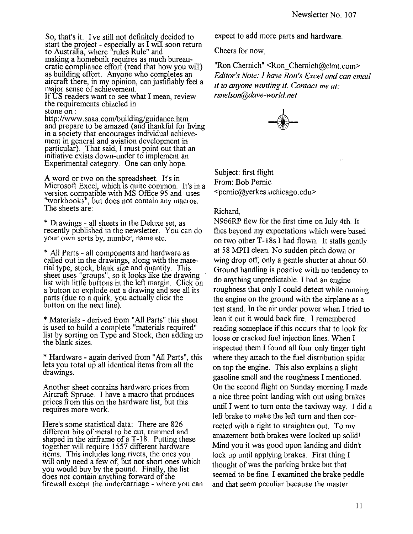So. that's it. I've still not definitely decided to start the project - esrecially as I will soon return to Australia, where "rules Rule" and making a homebuilt requires as much bureaucratic compliance effort (read that how you will) as building effort. Anyone who completes an aircraft there, in my opinion, can justifiably feel a major sense of achievement. If US readers want to see what I mean, review the requirements chizeled in

stone on:

http://www.saaa.com/building/guidance.htm and prepare to be amazed (and thankful for living in a society that encourages individual achievement in general and aviation development in particular). That said, I must point out that an Initiative exists down-under to implement an Experimental category. One can only hope.

A word or two on the spreadsheet. It's in Microsoft Excel, which is quite common. It's in a version compatible with MS Office 95 and uses "workbooks", but does not contain any macros. The sheets are:

\* Drawings - all sheets in the Deluxe set, as recently published in the newsletter. You can do your own sorts by, number, name etc.

\* All Parts - all components and hardware as called out in the drawings, along with the material type, stock, blank size and quantity. This sheet uses "groups", so it looks like the drawing list with little buttons in the left margin. Click on a button to explode out a drawing and see all its parts (due to a quirk, you actually click the button on the next line).

\* Materials - derived from "All Parts" this sheet is used to build a complete "materials required" list by sorting on Type and Stock, then adding up the blank sizes.

\* Hardware - again derived from "All Parts", this lets you total up all identical items from all the drawings.

Another sheet contains hardware prices from Aircraft Spruce. I have a macro that produces prices from this on the hardware list, but this requires more work.

Here's some statistical data: There are 826 different bits of metal to be cut, trimmed and shaped in the airframe of a  $T-18$ . Putting these together will require 1557 different hardware items. This includes long rivets, the ones you will only need a few of, but not short ones which you would buy by the pound. Finally, the list does not contain anything forward of the firewall except the undercarriage - where you can expect to add more parts and hardware.

Cheers for now,

"Ron Chernich" <Ron\_Chernich@clmt.com> *Editor's Note: ] have Ron's Excel and can email it* 10 *anyone wanting* il. *Contact me at: rsnelson@dave-world.net* 



Subject: first flight From: Bob Pernic <pernic@yerkes.uchicago.edu>

#### Richard,

N966RP flew for the first time on July 4th. It flies beyond my expectations which were based on two other T-18s I had flown. It stalls gently at 58 MPH clean. No sudden pitch down or wing drop off, only a gentle shutter at about 60. Ground handling is positive with no tendency to do anything unpredictable. I had an engine roughness that only I could detect while running the engine on the ground with the airplane as a test stand. In the air under power when I tried to lean it out it would back fire. I remembered reading someplace if this occurs that to look for loose or cracked fuel injection lines. When I inspected them I found all four only finger tight where they attach to the fuel distribution spider on top the engine. This also explains a slight gasoline smell and the roughness I mentioned. On the second flight on Sunday morning I made a nice three point landing with out using brakes until I went to turn onto the taxiway way. I did a left brake to make the left tum and then corrected with a right to straighten out. To my amazement both brakes were locked up solid! Mind you it was good upon landing and didn't lock up until applying brakes. First thing I thought of was the parking brake but that seemed to be fine. I examined the brake peddle and that seem peculiar because the master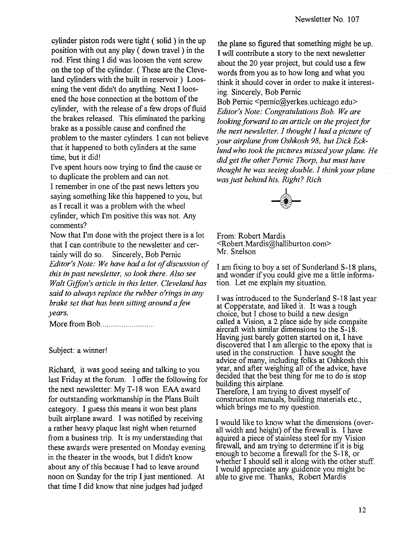cylinder piston rods were tight ( solid) in the up position with out any play ( down travel) in the rod. First thing I did was loosen the vent screw on the top of the cylinder. ( These are the Cleveland cylinders with the built in reservoir) Loosening the vent didn't do anything. Next I loosened the hose connection at the bottom of the cylinder, with the release of a few drops of fluid the brakes released. This eliminated the parking brake as a possible cause and confined the problem to the master cylinders. I can not believe that it happened to both cylinders at the same time, but it did!

I've spent hours now trying to find the cause or to duplicate the problem and can not. I remember in one of the past news letters you saying something like this happened to you, but as I recall it was a problem with the wheel cylinder, which I'm positive this was not. Any

comments? Now that I'm done with the project there is a lot that I can contribute to the newsletter and certainy will do so. Sincerely, Bob Pernic *Editor's Note: We have had a lot of discussion of this in past newsletter, so look there. Also see Walt Giffon's article in this letter. Cleveland has said to always replace the rubber o'rings in any brake set that has been sitting around afew years.* 

More from Bob ........................ ..

#### Subject: a winner!

Richard, it was good seeing and talking to you last Friday at the forum. I offer the following for the next newsletter: My T-18 won EAA award for outstanding workmanship in the Plans Built category. I guess this means it won best plans built airplane award. I was notified by receiving a rather heavy plaque last night when returned from a business trip. It is my understanding that these awards were presented on Monday evening in the theater in the woods, but I didn't know about any of this because I had to leave around noon on Sunday for the trip I just mentioned. At that time I did know that nine judges had judged

the plane so figured that something might be up. I will contribute a story to the next newsletter about the 20 year project, but could use a few words from you as to how long and what you think it should cover in order to make it interesting. Sincerely, Bob Pernic

Bob Pernic <pernic@yerkes.uchicago.edu> *Editor's Note: Congratulations Bob. We are looking forward to an article on the project for the next newsletter.* J *thought* J *had a picture of your airplane from Oshkosh* 98, *but Dick Ecklund who took the pictures missed your plane. He did get the other Pernic Thorp, but must have thought he was seeing double.* J *think your plane was just behind his. Right? Rich* 



From: Robert Mardis <Robert.Mardis@halliburton.com> Mr. Snelson

I am fixing to buy a set of Sunderland S-18 plans, and wonder if you could give me a little information. Let me explain my situation.

I was introduced to the Sunderland S-18 last year at Copperstate, and liked it. It was a tough choice, but I chose to build a new design called a Vision, a 2 place side by side compsite aircraft with similar dimensions to the S-18.<br>Having just barely gotten started on it, I have Having just barely gotten started on it, I have<br>discovered that I am allergic to the epoxy that is used in the construction. I have sought the advice of many, including folks at Oshkosh this year, and after weighing all of the advice, have decided that the best thing for me to do is stop building this airplane. Therefore, I am trying to divest myself of

construciton manuals, building materials etc., which brings me to my question.

I would like to know what the dimensions (overall width and height) of the firewall is. I have aquired a piece of stainless steel for my Vision firewall, and am trying to determine if it is big enough to become a firewall for the S-18, or whether I should sell it along with the other stuff. I would appreciate any guidence you might be able to give me. Thanks, Robert Mardis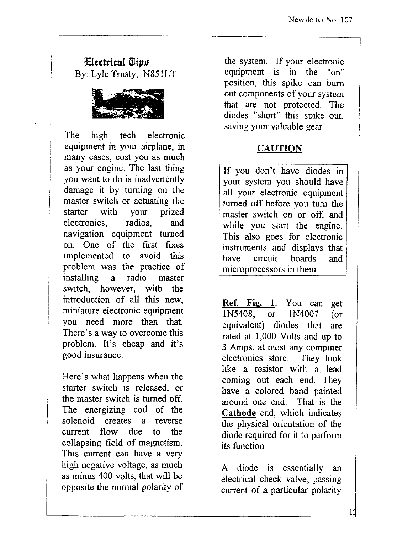#### Eltctricu1 *Wips*  By: Lyle Trusty, N851LT



The high tech electronic equipment in your airplane, in many cases, cost you as much as your engine. The last thing you want to do is inadvertently damage it by turning on the master switch or actuating the starter with your prized electronics, radios, and navigation equipment turned on. One of the first fixes implemented to avoid this problem was the practice of installing a radio master switch, however, with the introduction of all this new, miniature electronic equipment you need more than that. There's a way to overcome this problem. It's cheap and it's good insurance.

Here's what happens when the starter switch is released, or the master switch is turned off. The energizing coil of the solenoid creates a reverse current flow due to the collapsing field of magnetism. This current can have a very high negative voltage, as much as minus 400 volts, that will be opposite the normal polarity of

the system. If your electronic equipment is in the "on" position, this spike can burn out components of your system that are not protected. The diodes "short" this spike out, saving your valuable gear.

#### CAUTION

If you don't have diodes in your system you should have all your electronic equipment turned off before you tum the master switch on or off, and while you start the engine. This also goes for electronic instruments and displays that have circuit boards and microprocessors in them.

Ref. Fig. **1:** You can get IN5408, or IN4007 (or equivalent) diodes that are rated at 1,000 Volts and up to 3 Amps, at most any computer electronics store. They look like a resistor with a. lead coming out each end. They have a colored band painted around one end. That is the Cathode end, which indicates the physical orientation of the diode required for it to perform its function

A diode is essentially an electrical check valve, passing current of a particular polarity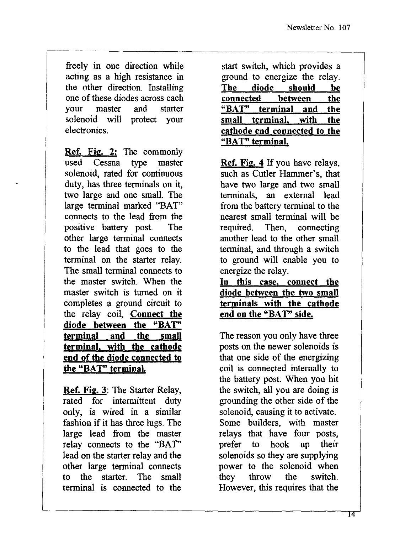freely in one direction while acting as a high resistance in the other direction. Installing one of these diodes across each your master and starter solenoid will protect your electronics.

Ref. Fig. 2: The commonly used Cessna type master solenoid, rated for continuous duty, has three terminals on it, two large and one small. The large terminal marked "BAT" connects to the lead from the positive battery post. The other large terminal connects to the lead that goes to the terminal on the starter relay. The small terminal connects to the master switch. When the master switch is turned on it completes a ground circuit to the relay coil, Connect the diode between the "BAT" terminal and the small terminal, with the cathode end of the diode connected to the "BAT" terminal.

Ref. Fig. 3: The Starter Relay, rated for intermittent duty only, is wired in a similar fashion if it has three lugs. The large lead from the master relay connects to the "BAT" lead on the starter relay and the other large terminal connects to the starter. The small terminal is connected to the

start switch, which provides a ground to energize the relay. The diode should be<br>connected between the **connected** between<br>"BAT" terminal and terminal and the small terminal, with the cathode end connected to the "BAT" terminal.

Ref. Fig. 4 If you have relays, such as Cutler Hammer's, that have two large and two small terminals, an external lead from the battery terminal to the nearest small terminal will be required. Then, connecting another lead to the other small terminal, and through a switch to ground will enable you to energize the relay.

In this case, connect the diode between the two small terminals with the cathode end on the "BAT" side.

The reason you only have three posts on the newer solenoids is that one side of the energizing coil is connected internally to the battery post. When you hit the switch, all you are doing is grounding the other side of the solenoid, causing it to activate. Some builders, with master relays that have four posts, prefer to hook up their solenoids so they are supplying power to the solenoid when they throw the switch. However, this requires that the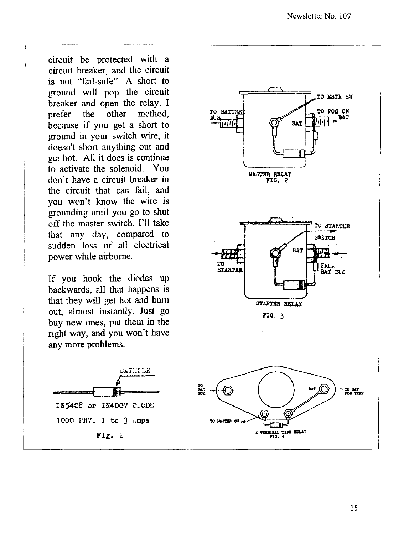circuit be protected with a circuit breaker, and the circuit is not "fail-safe". A short to ground will pop the circuit breaker and open the relay. I prefer the other method, because if you get a short to ground in your switch wire, it doesn't short anything out and get hot. All it does is continue to activate the solenoid. You don't have a circuit breaker in the circuit that can fail, and you won't know the wire is grounding until you go to shut off the master switch. I'll take that any day, compared to sudden loss of all electrical power while airborne.

If you hook the diodes up backwards, all that happens is that they will get hot and bum out, almost instantly. Just go buy new ones, put them in the right way, and you won't have any more problems.



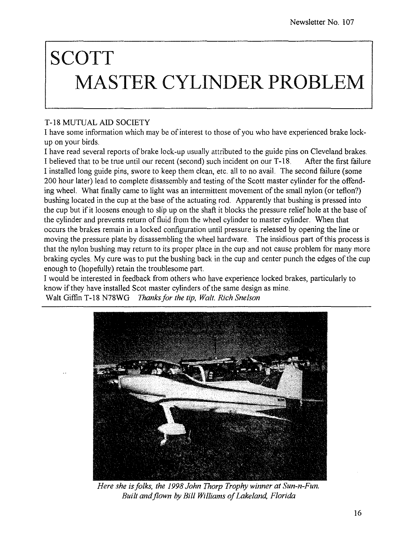## **SCOTT MASTER CYLINDER PROBLEM**

#### T-18 MUTUAL AID SOCIETY

I have some information which may be of interest to those of you who have experienced brake lockup on your birds.

I have read several reports of brake lock-up usually attributed to the guide pins on Cleveland brakes. I believed that to be true until our recent (second) such incident on our T-18. After the first failure I installed long guide pins, swore to keep them clean, etc. all to no avail. The second failure (some 200 hour later) lead to complete disassembly and testing of the Scott master cylinder for the offending wheel. What finally came to light was an intermittent movement of the small nylon (or teflon?) bushing located in the cup at the base of the actuating rod. Apparently that bushing is pressed into the cup but ifit loosens enough to slip up on the shaft it blocks the pressure relief hole at the base of the cylinder and prevents return of fluid from the wheel cylinder to master cylinder. When that occurs the brakes remain in a locked configuration until pressure is released by opening the line or moving the pressure plate by disassembling the wheel hardware. The insidious part of this process is that the nylon bushing may return to its proper place in the cup and not cause problem for many more braking cycles. My cure was to put the bushing back in the cup and center punch the edges of the cup enough to (hopefully) retain the troublesome part.

I would be interested in feedback from others who have experience locked brakes, particularly to know if they have installed Scot master cylinders of the same design as mine. Walt Giffin T-18 N78WG *Thanksfor the tip, Walt. Rich Snelson* 



*Here she isfolks, the* 1998 *John Thorp Trophy winner at Sun-n-Fun. Built andjlown by Bill Williams of Lakeland, Florida*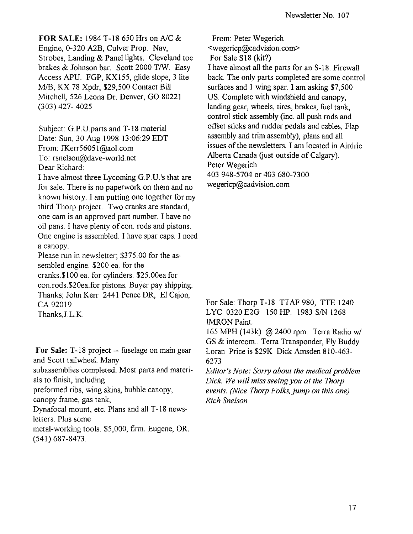**FOR SALE:** 1984 T-18 650 Hrs on AlC &

Engine, 0-320 A2B, Culver Prop. Nav, Strobes, Landing & Panel lights. Cleveland toe brakes & Johnson bar. Scott 2000 T/W. Easy Access APU. FGP, KX155, glide slope, 3 lite M/B, KX 78 Xpdr, \$29,500 Contact Bill Mitchell, 526 Leona Dr. Denver, GO 80221 (303) 427- 4025

Subject: G.P.U.parts and T-18 material Date: Sun, 30 Aug 1998 13:06:29 EDT From: JKerr56051@aol.com To: rsnelson@dave-world.net Dear Richard:

I have almost three Lycoming G.P. U. 's that are for sale. There is no paperwork on them and no known history. I am putting one together for my third Thorp project. Two cranks are standard, one cam is an approved part number. I have no oil pans. I have plenty of con. rods and pistons. One engine is assembled. I have spar caps. I need a canopy.

Please run in newsletter; \$375.00 for the assembled engine. \$200 ea. for the cranks.\$IOO ea. for cylinders. \$25.00ea for con.rods.\$20ea.for pistons. Buyer pay shipping. Thanks; John Kerr 2441 Pence DR, EI Cajon, CA 92019 Thanks,J.L.K.

For Sale: T-18 project -- fuselage on main gear and Scott tailwheel. Many subassemblies completed. Most parts and materials to finish, including preformed ribs, wing skins, bubble canopy, canopy frame, gas tank, Dynafocal mount, etc. Plans and all T -18 newsletters. Plus some metal-working tools. \$5,000, firm. Eugene, OR. (541) 687-8473.

From: Peter Wegerich <wegericp@cadvision.com> For Sale S18 (kit?) I have almost all the parts for an S-18. Firewall back. The only parts completed are some control surfaces and I wing spar. I am asking \$7,500 US. Complete with windshield and canopy, landing gear, wheels, tires, brakes, fuel tank, control stick assembly (inc. **all** push rods and offset sticks and rudder pedals and cables, Flap assembly and trim assembly), plans and all issues of the newsletters. I am located in Airdrie Alberta Canada (just outside of Calgary). Peter Wegerich 403948-5704 or 403680-7300 wegericp@cadvision.com

For Sale: Thorp T-18 TTAF 980, TTE 1240 LYC 0320E2G 150HP. 1983 *SIN* 1268 IMRON Paint.

165 MPH (143k) @ 2400 rpm. Terra Radio *wi*  GS & intercom.. Terra Transponder, Fly Buddy Loran Price is \$29K Dick Amsden 810-463- 6273

*Editor's Note: Sorry about the medical problem Dick. We will miss seeing you at the Thorp events. (Nice Thorp Folks, jump on this one) Rich Snelson*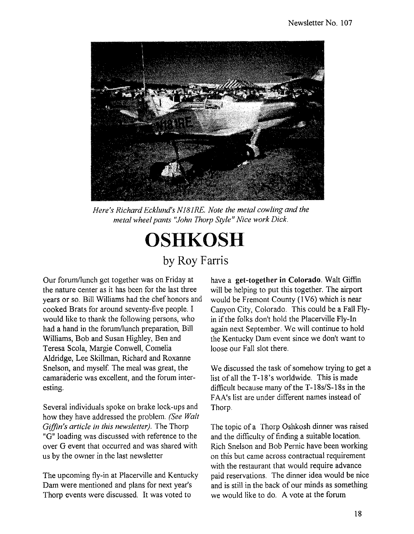

*Here's Richard Ecklund's N181RE. Note the metal cowling and the metal wheel pants "John Thorp Style" Nice work Dick.* 



Our forum/lunch get together was on Friday at the nature center as it has been for the last three years or so. Bill Williams had the chef honors and cooked Brats for around seventy-five people. I would like to thank the following persons, who had a hand in the forum/lunch preparation, Bill Williams, Bob and Susan Highley, Ben and Teresa Scola, Margie Conwell, Cornelia Aldridge, Lee Skillman, Richard and Roxanne Snelson, and myself. The meal was great, the camaraderie was excellent, and the forum interesting.

Several individuals spoke on brake lock-ups and how they have addressed the problem. *(See Walt Giffin's article in this newsletter).* The Thorp "G" loading was discussed with reference to the over G event that occurred and was shared with us by the owner in the last newsletter

The upcoming fly-in at Placerville and Kentucky Dam were mentioned and plans for next year's Thorp events were discussed. It was voted to

have a get-together in Colorado. Walt Giffin will be helping to put this together. The airport would be Fremont County (1V6) which is near Canyon City, Colorado. This could be a Fall Flyin if the folks don't hold the Placerville Fly-In again next September. We will continue to hold the Kentucky Dam event since we don't want to loose our Fall slot there.

We discussed the task of somehow trying to get a list of all the T-18's worldwide. This is made difficult because many of the *T-18s/S-18s* in the FAA's list are under different names instead of Thorp.

The topic of a Thorp Oshkosh dinner was raised and the difficulty of finding a suitable location. Rich Snelson and Bob Pennc have been working on this but came across contractual requirement with the restaurant that would require advance paid reservations. The dinner idea would be nice and is still in the back of our minds as something we would like to do. A vote at the forum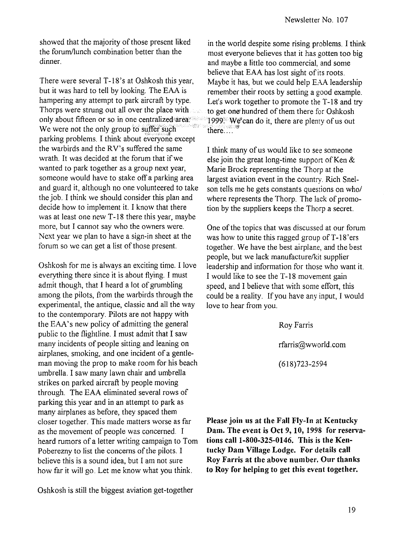showed that the majority of those present liked the forum/lunch combination better than the dinner.

There were several T-18's at Oshkosh this year, but it was hard to tell by looking. The EAA is hampering any attempt to park aircraft by type. Thorps were strung out all over the place with only about fifteen or so in one centralized'area: We were not the only group to suffer such parking problems. I think about everyone except the warbirds and the RV's suffered the same wrath. It was decided at the forum that if we wanted to park together as a group next year, someone would have to stake off a parking area and guard it, although no one volunteered to take the job. I think we should consider this plan and decide how to implement it. I know that there was at least one new T-18 there this year, maybe more, but I cannot say who the owners were. Next year we plan to have a sign-in sheet at the forum so we can get a list of those present.

Oshkosh for me is always an exciting time. I love everything there since it is about flying. I must admit though, that I heard a lot of grumbling among the pilots, from the warbirds through the experimental, the antique, classic and all the way to the contemporary. Pilots are not happy with the EAA's new policy of admitting the general public to the flightline. I must admit that I saw many incidents of people sitting and leaning on airplanes, smoking, and one incident of a gentleman moving the prop to make room for his beach umbrella. I saw many lawn chair and umbrella strikes on parked aircraft by people moving through. The EAA eliminated several rows of parking this year and in an attempt to park as many airplanes as before, they spaced them closer together. This made matters worse as far as the movement of people was concerned. I heard rumors of a letter writing campaign to Tom Poberezny to list the concerns of the pilots. I believe this is a sound idea, but I am not sure how far it will go. Let me know what you think.

in the world despite some rising problems. I think most everyone believes that it has gotten too big and maybe a little too commercial, and some believe that EAA has lost sight of its roots. Maybe it has, but we could help EAA leadership remember their roots by setting a good example. Let's work together to promote the T-18 and try to get one' hundred of them there for Oshkosh 1999: We can do it, there are plenty of us out there  $\ldots$ 

I think many of us would like to see someone else join the great long-time support of Ken & Marie Brock representing the Thorp at the largest aviation event in the country. Rich Snelson tells me he gets constants questions on who/ where represents the Thorp. The lack of promotion by the suppliers keeps the Thorp a secret.

One of the topics that was discussed at our forum was how to unite this ragged group of  $T-18$ ' ers together. We have the best airplane, and the best people, but we lack manufacture/kit supplier leadership and information for those who want it. I would like to see the T-18 movement gain speed, and I believe that with some effort, this could be a reality. If you have any input, I would love to hear from you.

> Roy Farris rfarris@wworld.com (618)723-2594

**Please join us at the Fall Fly-In at Kentucky Dam. The event is Oct 9, 10, 1998 for reservations** call 1-800-325-0146. **This is the Kentucky Dam Village Lodge. For details call Roy Farris at the above number. Our thanks to Roy for helping to get this event together.**